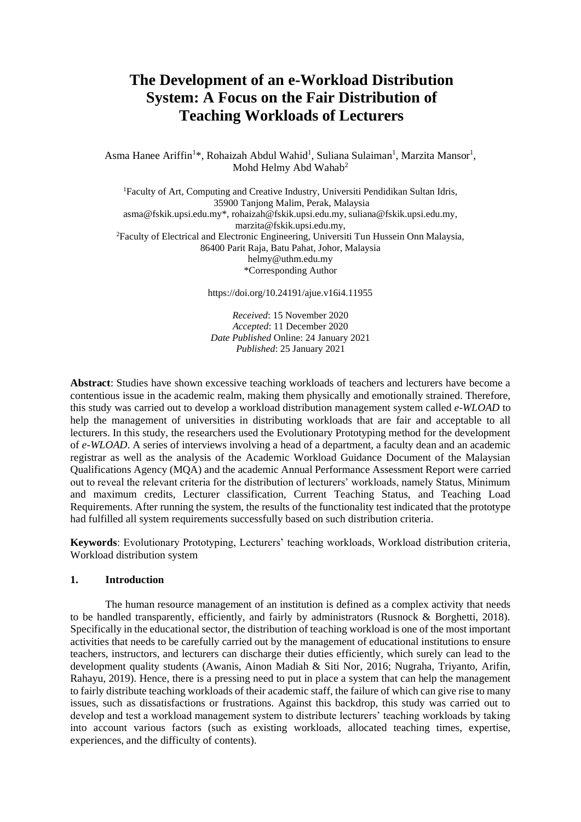# **The Development of an e-Workload Distribution System: A Focus on the Fair Distribution of Teaching Workloads of Lecturers**

Asma Hanee Ariffin<sup>1\*</sup>, Rohaizah Abdul Wahid<sup>1</sup>, Suliana Sulaiman<sup>1</sup>, Marzita Mansor<sup>1</sup>, Mohd Helmy Abd Wahab<sup>2</sup>

<sup>1</sup>Faculty of Art, Computing and Creative Industry, Universiti Pendidikan Sultan Idris, 35900 Tanjong Malim, Perak, Malaysia asma@fskik.upsi.edu.my\*, rohaizah@fskik.upsi.edu.my, suliana@fskik.upsi.edu.my, marzita@fskik.upsi.edu.my, <sup>2</sup>Faculty of Electrical and Electronic Engineering, Universiti Tun Hussein Onn Malaysia, 86400 Parit Raja, Batu Pahat, Johor, Malaysia helmy@uthm.edu.my \*Corresponding Author

https://doi.org/10.24191/ajue.v16i4.11955

*Received*: 15 November 2020 *Accepted*: 11 December 2020 *Date Published* Online: 24 January 2021 *Published*: 25 January 2021

**Abstract**: Studies have shown excessive teaching workloads of teachers and lecturers have become a contentious issue in the academic realm, making them physically and emotionally strained. Therefore, this study was carried out to develop a workload distribution management system called *e-WLOAD* to help the management of universities in distributing workloads that are fair and acceptable to all lecturers. In this study, the researchers used the Evolutionary Prototyping method for the development of *e-WLOAD*. A series of interviews involving a head of a department, a faculty dean and an academic registrar as well as the analysis of the Academic Workload Guidance Document of the Malaysian Qualifications Agency (MQA) and the academic Annual Performance Assessment Report were carried out to reveal the relevant criteria for the distribution of lecturers' workloads, namely Status, Minimum and maximum credits, Lecturer classification, Current Teaching Status, and Teaching Load Requirements. After running the system, the results of the functionality test indicated that the prototype had fulfilled all system requirements successfully based on such distribution criteria.

**Keywords**: Evolutionary Prototyping, Lecturers' teaching workloads, Workload distribution criteria, Workload distribution system

#### **1. Introduction**

The human resource management of an institution is defined as a complex activity that needs to be handled transparently, efficiently, and fairly by administrators (Rusnock & Borghetti, 2018). Specifically in the educational sector, the distribution of teaching workload is one of the most important activities that needs to be carefully carried out by the management of educational institutions to ensure teachers, instructors, and lecturers can discharge their duties efficiently, which surely can lead to the development quality students (Awanis, Ainon Madiah & Siti Nor, 2016; Nugraha, Triyanto, Arifin, Rahayu, 2019). Hence, there is a pressing need to put in place a system that can help the management to fairly distribute teaching workloads of their academic staff, the failure of which can give rise to many issues, such as dissatisfactions or frustrations. Against this backdrop, this study was carried out to develop and test a workload management system to distribute lecturers' teaching workloads by taking into account various factors (such as existing workloads, allocated teaching times, expertise, experiences, and the difficulty of contents).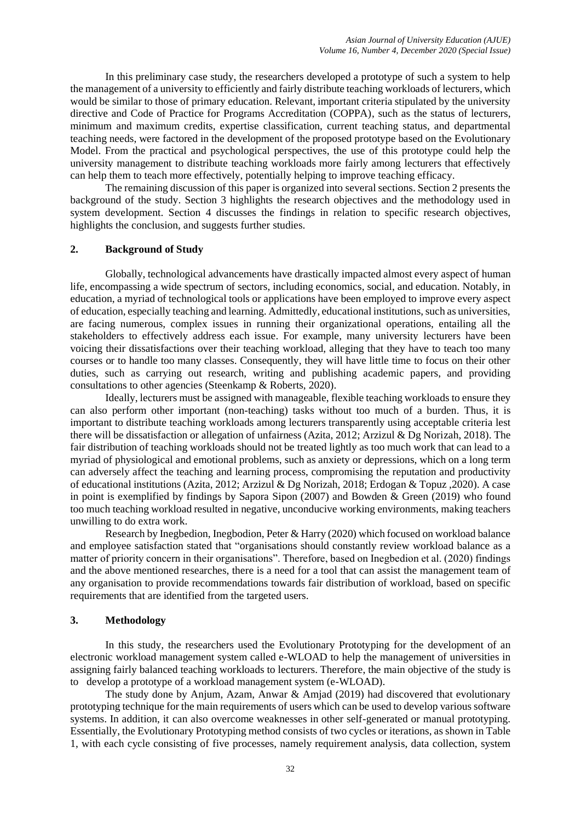In this preliminary case study, the researchers developed a prototype of such a system to help the management of a university to efficiently and fairly distribute teaching workloads of lecturers, which would be similar to those of primary education. Relevant, important criteria stipulated by the university directive and Code of Practice for Programs Accreditation (COPPA), such as the status of lecturers, minimum and maximum credits, expertise classification, current teaching status, and departmental teaching needs, were factored in the development of the proposed prototype based on the Evolutionary Model. From the practical and psychological perspectives, the use of this prototype could help the university management to distribute teaching workloads more fairly among lecturers that effectively can help them to teach more effectively, potentially helping to improve teaching efficacy.

The remaining discussion of this paper is organized into several sections. Section 2 presents the background of the study. Section 3 highlights the research objectives and the methodology used in system development. Section 4 discusses the findings in relation to specific research objectives, highlights the conclusion, and suggests further studies.

#### **2. Background of Study**

Globally, technological advancements have drastically impacted almost every aspect of human life, encompassing a wide spectrum of sectors, including economics, social, and education. Notably, in education, a myriad of technological tools or applications have been employed to improve every aspect of education, especially teaching and learning. Admittedly, educational institutions, such as universities, are facing numerous, complex issues in running their organizational operations, entailing all the stakeholders to effectively address each issue. For example, many university lecturers have been voicing their dissatisfactions over their teaching workload, alleging that they have to teach too many courses or to handle too many classes. Consequently, they will have little time to focus on their other duties, such as carrying out research, writing and publishing academic papers, and providing consultations to other agencies (Steenkamp & Roberts, 2020).

Ideally, lecturers must be assigned with manageable, flexible teaching workloads to ensure they can also perform other important (non-teaching) tasks without too much of a burden. Thus, it is important to distribute teaching workloads among lecturers transparently using acceptable criteria lest there will be dissatisfaction or allegation of unfairness (Azita, 2012; Arzizul & Dg Norizah, 2018). The fair distribution of teaching workloads should not be treated lightly as too much work that can lead to a myriad of physiological and emotional problems, such as anxiety or depressions, which on a long term can adversely affect the teaching and learning process, compromising the reputation and productivity of educational institutions (Azita, 2012; Arzizul & Dg Norizah, 2018; Erdogan & Topuz ,2020). A case in point is exemplified by findings by Sapora Sipon (2007) and Bowden & Green (2019) who found too much teaching workload resulted in negative, unconducive working environments, making teachers unwilling to do extra work.

Research by Inegbedion, Inegbodion, Peter & Harry (2020) which focused on workload balance and employee satisfaction stated that "organisations should constantly review workload balance as a matter of priority concern in their organisations". Therefore, based on Inegbedion et al. (2020) findings and the above mentioned researches, there is a need for a tool that can assist the management team of any organisation to provide recommendations towards fair distribution of workload, based on specific requirements that are identified from the targeted users.

#### **3. Methodology**

In this study, the researchers used the Evolutionary Prototyping for the development of an electronic workload management system called e-WLOAD to help the management of universities in assigning fairly balanced teaching workloads to lecturers. Therefore, the main objective of the study is to develop a prototype of a workload management system (e-WLOAD).

The study done by Anjum, Azam, Anwar & Amjad (2019) had discovered that evolutionary prototyping technique for the main requirements of users which can be used to develop various software systems. In addition, it can also overcome weaknesses in other self-generated or manual prototyping. Essentially, the Evolutionary Prototyping method consists of two cycles or iterations, as shown in Table 1, with each cycle consisting of five processes, namely requirement analysis, data collection, system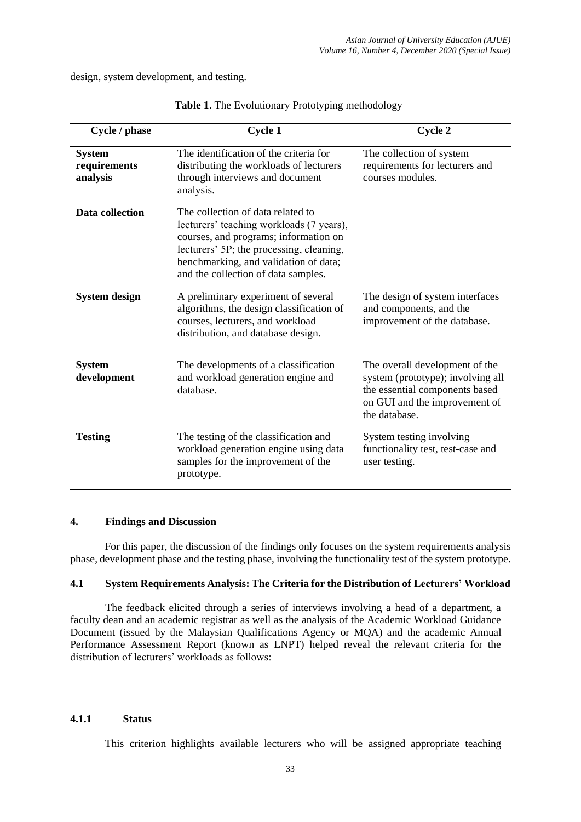design, system development, and testing.

| Cycle / phase                             | <b>Cycle 1</b>                                                                                                                                                                                                                                     | Cycle 2                                                                                                                                                 |
|-------------------------------------------|----------------------------------------------------------------------------------------------------------------------------------------------------------------------------------------------------------------------------------------------------|---------------------------------------------------------------------------------------------------------------------------------------------------------|
| <b>System</b><br>requirements<br>analysis | The identification of the criteria for<br>distributing the workloads of lecturers<br>through interviews and document<br>analysis.                                                                                                                  | The collection of system<br>requirements for lecturers and<br>courses modules.                                                                          |
| Data collection                           | The collection of data related to<br>lecturers' teaching workloads (7 years),<br>courses, and programs; information on<br>lecturers' 5P; the processing, cleaning,<br>benchmarking, and validation of data;<br>and the collection of data samples. |                                                                                                                                                         |
| <b>System design</b>                      | A preliminary experiment of several<br>algorithms, the design classification of<br>courses, lecturers, and workload<br>distribution, and database design.                                                                                          | The design of system interfaces<br>and components, and the<br>improvement of the database.                                                              |
| <b>System</b><br>development              | The developments of a classification<br>and workload generation engine and<br>database.                                                                                                                                                            | The overall development of the<br>system (prototype); involving all<br>the essential components based<br>on GUI and the improvement of<br>the database. |
| <b>Testing</b>                            | The testing of the classification and<br>workload generation engine using data<br>samples for the improvement of the<br>prototype.                                                                                                                 | System testing involving<br>functionality test, test-case and<br>user testing.                                                                          |

|  |  | Table 1. The Evolutionary Prototyping methodology |
|--|--|---------------------------------------------------|
|  |  |                                                   |

#### **4. Findings and Discussion**

For this paper, the discussion of the findings only focuses on the system requirements analysis phase, development phase and the testing phase, involving the functionality test of the system prototype.

## **4.1 System Requirements Analysis: The Criteria for the Distribution of Lecturers' Workload**

The feedback elicited through a series of interviews involving a head of a department, a faculty dean and an academic registrar as well as the analysis of the Academic Workload Guidance Document (issued by the Malaysian Qualifications Agency or MQA) and the academic Annual Performance Assessment Report (known as LNPT) helped reveal the relevant criteria for the distribution of lecturers' workloads as follows:

#### **4.1.1 Status**

This criterion highlights available lecturers who will be assigned appropriate teaching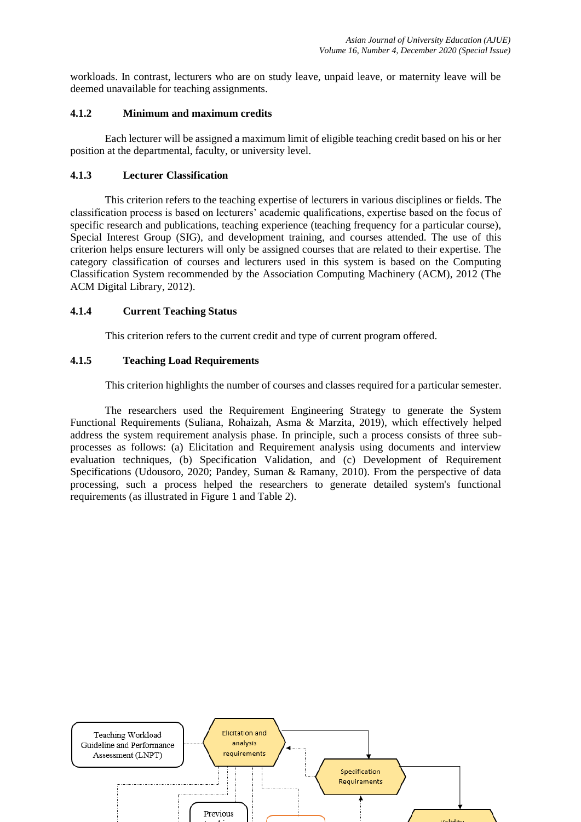workloads. In contrast, lecturers who are on study leave, unpaid leave, or maternity leave will be deemed unavailable for teaching assignments.

## **4.1.2 Minimum and maximum credits**

Each lecturer will be assigned a maximum limit of eligible teaching credit based on his or her position at the departmental, faculty, or university level.

# **4.1.3 Lecturer Classification**

This criterion refers to the teaching expertise of lecturers in various disciplines or fields. The classification process is based on lecturers' academic qualifications, expertise based on the focus of specific research and publications, teaching experience (teaching frequency for a particular course), Special Interest Group (SIG), and development training, and courses attended. The use of this criterion helps ensure lecturers will only be assigned courses that are related to their expertise. The category classification of courses and lecturers used in this system is based on the Computing Classification System recommended by the Association Computing Machinery (ACM), 2012 (The ACM Digital Library, 2012).

## **4.1.4 Current Teaching Status**

This criterion refers to the current credit and type of current program offered.

## **4.1.5 Teaching Load Requirements**

This criterion highlights the number of courses and classes required for a particular semester.

The researchers used the Requirement Engineering Strategy to generate the System Functional Requirements (Suliana, Rohaizah, Asma & Marzita, 2019), which effectively helped address the system requirement analysis phase. In principle, such a process consists of three subprocesses as follows: (a) Elicitation and Requirement analysis using documents and interview evaluation techniques, (b) Specification Validation, and (c) Development of Requirement Specifications (Udousoro, 2020; Pandey, Suman & Ramany, 2010). From the perspective of data processing, such a process helped the researchers to generate detailed system's functional requirements (as illustrated in Figure 1 and Table 2).

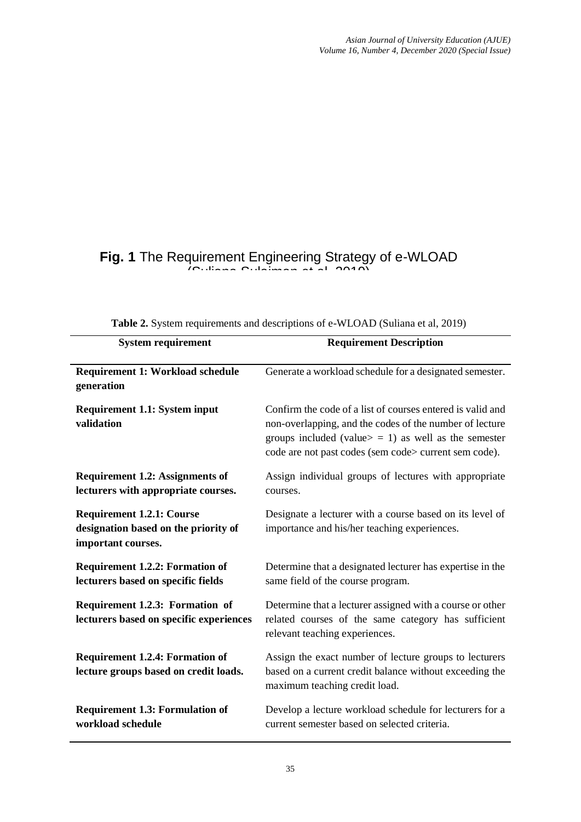# **Fig. 1** The Requirement Engineering Strategy of e-WLOAD  $(0.12)$ ana  $0.1$ aiman et al,  $201/2$

| <b>System requirement</b>                                                                      | <b>Requirement Description</b>                                                                                                                                                                                                            |
|------------------------------------------------------------------------------------------------|-------------------------------------------------------------------------------------------------------------------------------------------------------------------------------------------------------------------------------------------|
| Requirement 1: Workload schedule<br>generation                                                 | Generate a workload schedule for a designated semester.                                                                                                                                                                                   |
| <b>Requirement 1.1: System input</b><br>validation                                             | Confirm the code of a list of courses entered is valid and<br>non-overlapping, and the codes of the number of lecture<br>groups included (value $>$ = 1) as well as the semester<br>code are not past codes (sem code> current sem code). |
| <b>Requirement 1.2: Assignments of</b><br>lecturers with appropriate courses.                  | Assign individual groups of lectures with appropriate<br>courses.                                                                                                                                                                         |
| <b>Requirement 1.2.1: Course</b><br>designation based on the priority of<br>important courses. | Designate a lecturer with a course based on its level of<br>importance and his/her teaching experiences.                                                                                                                                  |
| <b>Requirement 1.2.2: Formation of</b><br>lecturers based on specific fields                   | Determine that a designated lecturer has expertise in the<br>same field of the course program.                                                                                                                                            |
| Requirement 1.2.3: Formation of<br>lecturers based on specific experiences                     | Determine that a lecturer assigned with a course or other<br>related courses of the same category has sufficient<br>relevant teaching experiences.                                                                                        |
| <b>Requirement 1.2.4: Formation of</b><br>lecture groups based on credit loads.                | Assign the exact number of lecture groups to lecturers<br>based on a current credit balance without exceeding the<br>maximum teaching credit load.                                                                                        |
| <b>Requirement 1.3: Formulation of</b><br>workload schedule                                    | Develop a lecture workload schedule for lecturers for a<br>current semester based on selected criteria.                                                                                                                                   |

**Table 2.** System requirements and descriptions of e-WLOAD (Suliana et al, 2019)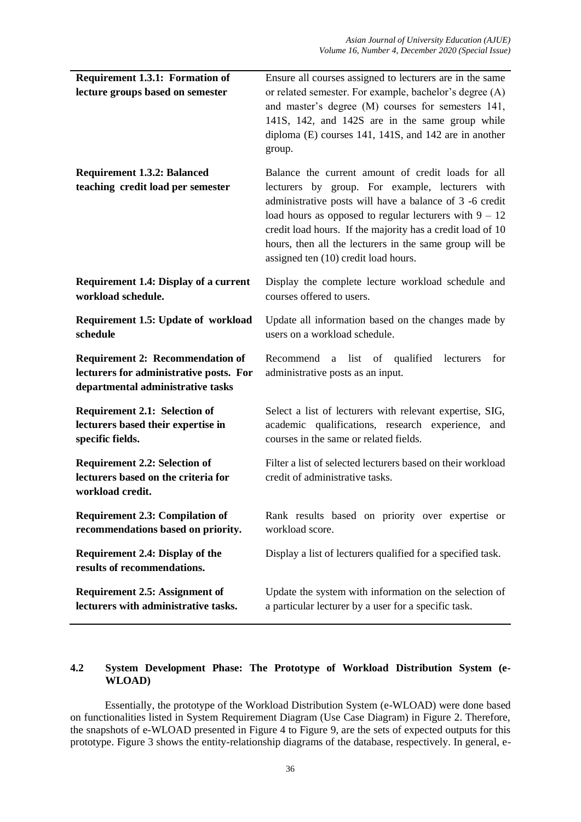| Requirement 1.3.1: Formation of                                                                                         | Ensure all courses assigned to lecturers are in the same                                                                                                                                                                                                                                                                                                                                      |
|-------------------------------------------------------------------------------------------------------------------------|-----------------------------------------------------------------------------------------------------------------------------------------------------------------------------------------------------------------------------------------------------------------------------------------------------------------------------------------------------------------------------------------------|
| lecture groups based on semester                                                                                        | or related semester. For example, bachelor's degree (A)<br>and master's degree (M) courses for semesters 141,<br>141S, 142, and 142S are in the same group while<br>diploma (E) courses 141, 141S, and 142 are in another<br>group.                                                                                                                                                           |
| <b>Requirement 1.3.2: Balanced</b><br>teaching credit load per semester                                                 | Balance the current amount of credit loads for all<br>lecturers by group. For example, lecturers with<br>administrative posts will have a balance of 3 -6 credit<br>load hours as opposed to regular lecturers with $9 - 12$<br>credit load hours. If the majority has a credit load of 10<br>hours, then all the lecturers in the same group will be<br>assigned ten (10) credit load hours. |
| <b>Requirement 1.4: Display of a current</b><br>workload schedule.                                                      | Display the complete lecture workload schedule and<br>courses offered to users.                                                                                                                                                                                                                                                                                                               |
| <b>Requirement 1.5: Update of workload</b><br>schedule                                                                  | Update all information based on the changes made by<br>users on a workload schedule.                                                                                                                                                                                                                                                                                                          |
| <b>Requirement 2: Recommendation of</b><br>lecturers for administrative posts. For<br>departmental administrative tasks | Recommend a list of qualified<br>lecturers<br>for<br>administrative posts as an input.                                                                                                                                                                                                                                                                                                        |
| <b>Requirement 2.1: Selection of</b><br>lecturers based their expertise in<br>specific fields.                          | Select a list of lecturers with relevant expertise, SIG,<br>academic qualifications, research experience, and<br>courses in the same or related fields.                                                                                                                                                                                                                                       |
| <b>Requirement 2.2: Selection of</b><br>lecturers based on the criteria for<br>workload credit.                         | Filter a list of selected lecturers based on their workload<br>credit of administrative tasks.                                                                                                                                                                                                                                                                                                |
| <b>Requirement 2.3: Compilation of</b><br>recommendations based on priority.                                            | Rank results based on priority over expertise or<br>workload score.                                                                                                                                                                                                                                                                                                                           |
| Requirement 2.4: Display of the<br>results of recommendations.                                                          | Display a list of lecturers qualified for a specified task.                                                                                                                                                                                                                                                                                                                                   |
| <b>Requirement 2.5: Assignment of</b><br>lecturers with administrative tasks.                                           | Update the system with information on the selection of<br>a particular lecturer by a user for a specific task.                                                                                                                                                                                                                                                                                |

# **4.2 System Development Phase: The Prototype of Workload Distribution System (e-WLOAD)**

Essentially, the prototype of the Workload Distribution System (e-WLOAD) were done based on functionalities listed in System Requirement Diagram (Use Case Diagram) in Figure 2. Therefore, the snapshots of e-WLOAD presented in Figure 4 to Figure 9, are the sets of expected outputs for this prototype. Figure 3 shows the entity-relationship diagrams of the database, respectively. In general, e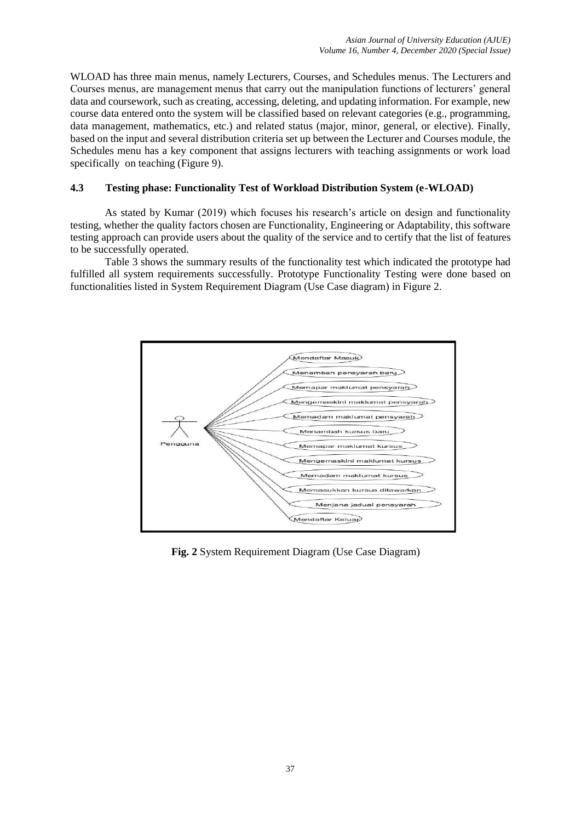WLOAD has three main menus, namely Lecturers, Courses, and Schedules menus. The Lecturers and Courses menus, are management menus that carry out the manipulation functions of lecturers' general data and coursework, such as creating, accessing, deleting, and updating information. For example, new course data entered onto the system will be classified based on relevant categories (e.g., programming, data management, mathematics, etc.) and related status (major, minor, general, or elective). Finally, based on the input and several distribution criteria set up between the Lecturer and Courses module, the Schedules menu has a key component that assigns lecturers with teaching assignments or work load specifically on teaching (Figure 9).

# **4.3 Testing phase: Functionality Test of Workload Distribution System (e-WLOAD)**

As stated by Kumar (2019) which focuses his research's article on design and functionality testing, whether the quality factors chosen are Functionality, Engineering or Adaptability, this software testing approach can provide users about the quality of the service and to certify that the list of features to be successfully operated.

Table 3 shows the summary results of the functionality test which indicated the prototype had fulfilled all system requirements successfully. Prototype Functionality Testing were done based on functionalities listed in System Requirement Diagram (Use Case diagram) in Figure 2.



**Fig. 2** System Requirement Diagram (Use Case Diagram)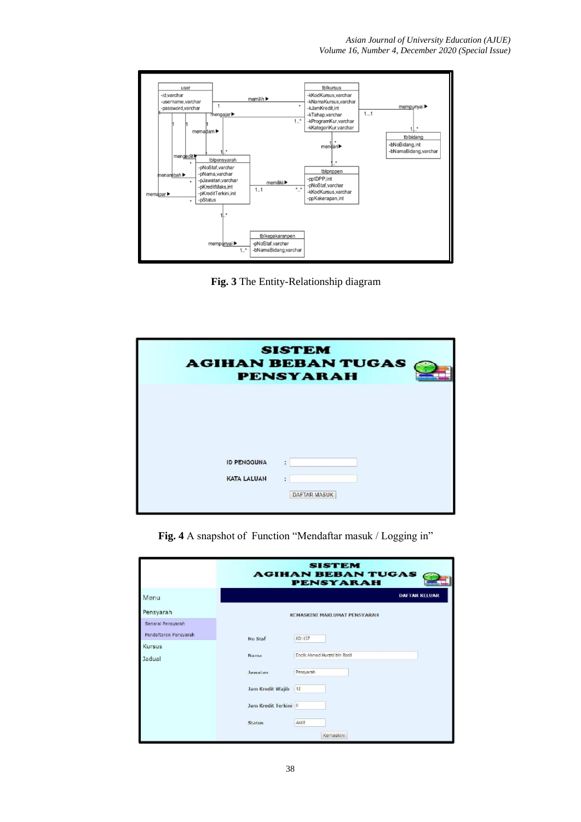

**Fig. 3** The Entity-Relationship diagram

|                                          | <b>SISTEM</b><br><b>AGIHAN BEBAN TUGAS</b><br><b>PENSYARAH</b> |
|------------------------------------------|----------------------------------------------------------------|
| <b>ID PENGGUNA</b><br><b>KATA LALUAN</b> | ٠<br>¢,<br>DAFTAR MASUK                                        |

**Fig. 4** A snapshot of Function "Mendaftar masuk / Logging in"

|                       |                       | <b>SISTEM</b><br><b>AGIHAN BEBAN TUGAS</b><br><b>PENSYARAH</b> |
|-----------------------|-----------------------|----------------------------------------------------------------|
| Menu                  |                       | <b>DAFTAR KELUAR</b>                                           |
| Pensyarah             |                       | <b>KEMASKINI MAKLUMAT PENSYARAH</b>                            |
| Senarai Pensyarah     |                       |                                                                |
| Pendaftaran Pensyarah | No Staf               | K01137                                                         |
| Kursus                |                       |                                                                |
| Jadual                | Nama                  | Encik Ahmad Nurzid bin Rosli                                   |
|                       | Jawatan               | Pensyarah                                                      |
|                       | Jam Kredit Wajib : 12 |                                                                |
|                       | Jam Kredit Terkini: 0 |                                                                |
|                       | <b>Status</b>         | Aktif                                                          |
|                       |                       | Kemaskini                                                      |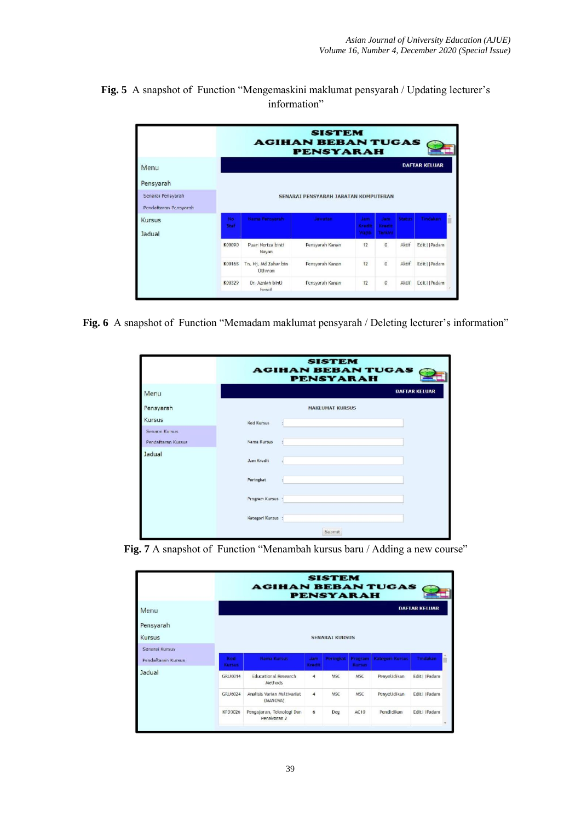**Fig. 5** A snapshot of Function "Mengemaskini maklumat pensyarah / Updating lecturer's information"

|                       |            |                                | <b>SISTEM</b><br><b>AGIHAN BEBAN TUGAS</b><br><b>PENSYARAH</b> |                        |                          |               |                      |  |
|-----------------------|------------|--------------------------------|----------------------------------------------------------------|------------------------|--------------------------|---------------|----------------------|--|
| Menu                  |            |                                |                                                                |                        |                          |               | <b>DAFTAR KELUAR</b> |  |
| Pensyarah             |            |                                |                                                                |                        |                          |               |                      |  |
| Senarai Pensyarah     |            |                                | SENARAI PENSYARAH JABATAN KOMPUTERAN                           |                        |                          |               |                      |  |
| Pendaftaran Pensyarah |            |                                |                                                                |                        |                          |               |                      |  |
| Kursus                | No<br>Staf | Hama Pensyarah                 | <b>Jawatan</b>                                                 | Jam<br>Kradit<br>Wattb | Jam<br>Krecit<br>Terkini | <b>Status</b> | Tindakan             |  |
| Jadual                | K0009D     | Puan Noriza binti<br>Navan     | Pensyarah Kanan                                                | 12                     | $\mathbf{0}$             | Aktif         | Edit     Padam       |  |
|                       | K00168     | Tn. Hj. Md Zahar bin<br>Othman | Pensyarah Kanan                                                | 12                     | $\overline{0}$           | Aktif         | Edit     Padam       |  |
|                       | K00329     | Dr. Azniah binti<br>Ismail     | Pensyarah Kanan                                                | 12                     | $\mathbf{0}$             | Aktif         | Edit     Padam       |  |

**Fig. 6** A snapshot of Function "Memadam maklumat pensyarah / Deleting lecturer's information"

|                                      | <b>SISTEM</b><br><b>AGIHAN BEBAN TUGAS</b><br><b>PENSYARAH</b> |
|--------------------------------------|----------------------------------------------------------------|
| Menu                                 | <b>DAFTAR KELUAR</b>                                           |
| Pensyarah                            | <b>MAKLUMAT KURSUS</b>                                         |
| Kursus                               | <b>Kod Kursus</b><br>č.                                        |
| Senarai Kursus<br>Pendaftaran Kursus | Nama Kursus                                                    |
| Jadual                               | Jam Kredit<br>ŧ                                                |
|                                      | Peringkat                                                      |
|                                      | Program Kursus :                                               |
|                                      | Kategori Kursus:                                               |
|                                      | Submit                                                         |

Fig. 7 A snapshot of Function "Menambah kursus baru / Adding a new course"

|                    |                      | <b>AGIHAN BEBAN TUGAS</b>                 |               | <b>SISTEM</b><br><b>PENSYARAH</b> |                          |                        |                           |
|--------------------|----------------------|-------------------------------------------|---------------|-----------------------------------|--------------------------|------------------------|---------------------------|
| Menu               |                      |                                           |               |                                   |                          |                        | <b>DAFTAR KELUAR</b>      |
| Pensyarah          |                      |                                           |               |                                   |                          |                        |                           |
| Kursus             |                      |                                           |               | <b>SENARAT KURSUS</b>             |                          |                        |                           |
| Senarai Kursus     |                      |                                           |               |                                   |                          |                        |                           |
| Pendaftaran Kursus | Kod<br><b>Kursus</b> | <b>Nama Kursus</b>                        | Jam<br>Kradit | Peringkat                         | <b>Program</b><br>Kursus | <b>Kategori Kursus</b> | Tindakan                  |
| Jadual             | GRU6014              | <b>Educational Research</b><br>Methods    | 4             | MSC                               | <b>MSC</b>               | Penyelidikan           | Edit     Padam            |
|                    | <b>GRU6024</b>       | Analisis Varian Multivariat<br>(MANOVA)   | 4             | <b>MSC</b>                        | <b>MSC</b>               | Penyelidikan           | Edit     Padam            |
|                    | KPD3026              | Pengajaran, Teknologi Dan<br>Penaksiran 2 | 6             | Deg                               | AC10                     | Pendidikan             | Edit     Padam<br>$\cdot$ |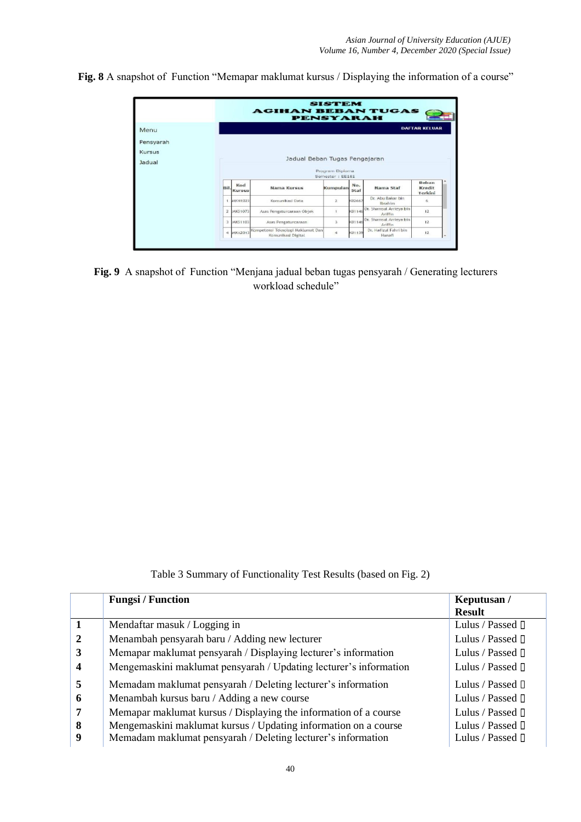**Fig. 8** A snapshot of Function "Memapar maklumat kursus / Displaying the information of a course"

|                               |                |                                                  | <b>AGIHAN BEBAN TUGAS</b><br><b>PENSYARAH</b>           | <b>SISTEM</b>    |             |                                    |                            |                          |  |  |  |
|-------------------------------|----------------|--------------------------------------------------|---------------------------------------------------------|------------------|-------------|------------------------------------|----------------------------|--------------------------|--|--|--|
| Menu                          |                | <b>DAFTAR KELUAR</b>                             |                                                         |                  |             |                                    |                            |                          |  |  |  |
| Pensyarah<br>Kursus<br>Jadual |                | Jadual Beban Tugas Pengajaran<br>Program Diploma |                                                         |                  |             |                                    |                            |                          |  |  |  |
|                               |                |                                                  |                                                         | Semester : EE181 |             |                                    |                            |                          |  |  |  |
|                               | Bil.           | Kod<br><b>Kursus</b>                             | <b>Nama Kursus</b>                                      | Kumpulan         | No.<br>Staf | Nama Staf                          | Beban<br>Kredit<br>Terkini |                          |  |  |  |
|                               |                | 1 MKN1023                                        | Komunikasi Data                                         | $\mathbf{z}$     | K02667      | Dr. Abu Bakar bin<br>Ibrahim       | 6                          |                          |  |  |  |
|                               | $\overline{2}$ | MK51073                                          | Asas Pengaturcaraan Objek                               |                  | K01146      | Dr. Shamsul Arrieya bin<br>Ariffin | 12                         |                          |  |  |  |
|                               |                | 3 MKS1103                                        | Asas Pengaturcaraan                                     | $\bar{z}$        | K01146      | Dr. Shamsul Arrieya bin<br>Ariffin | 12                         |                          |  |  |  |
|                               |                | 4 MKA2013                                        | Kompetensi Teknologi Maklumat Dan<br>Komunikasi Digital | i4               | K01139      | Dr. Haftzul Fahri bin<br>Hanafi    | 12                         | $\overline{\phantom{a}}$ |  |  |  |

**Fig. 9** A snapshot of Function "Menjana jadual beban tugas pensyarah / Generating lecturers workload schedule"

Table 3 Summary of Functionality Test Results (based on Fig. 2)

|              | <b>Fungsi / Function</b>                                          | Keputusan /                  |
|--------------|-------------------------------------------------------------------|------------------------------|
|              |                                                                   | <b>Result</b>                |
|              | Mendaftar masuk / Logging in                                      | Lulus / Passed $\Box$        |
| $\mathbf{2}$ | Menambah pensyarah baru / Adding new lecturer                     | Lulus / Passed $\Box$        |
| 3            | Memapar maklumat pensyarah / Displaying lecturer's information    | Lulus / Passed $\Box$        |
| 4            | Mengemaskini maklumat pensyarah / Updating lecturer's information | Lulus / Passed <sup>[]</sup> |
| 5            | Memadam maklumat pensyarah / Deleting lecturer's information      | Lulus / Passed $\Box$        |
| 6            | Menambah kursus baru / Adding a new course                        | Lulus / Passed $\Box$        |
| 7            | Memapar maklumat kursus / Displaying the information of a course  | Lulus / Passed $\Box$        |
| 8            | Mengemaskini maklumat kursus / Updating information on a course   | Lulus / Passed $\Box$        |
| 9            | Memadam maklumat pensyarah / Deleting lecturer's information      | Lulus / Passed $\Box$        |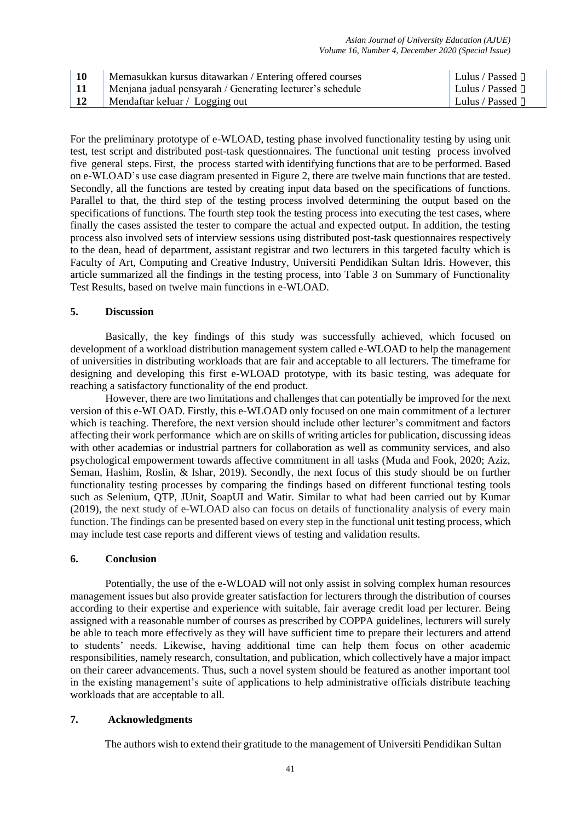| <b>10</b>  | Memasukkan kursus ditawarkan / Entering offered courses   | Lulus / Passed $\Box$ |
|------------|-----------------------------------------------------------|-----------------------|
| <b>11</b>  | Menjana jadual pensyarah / Generating lecturer's schedule | Lulus / Passed $\Box$ |
| $\vert$ 12 | $\parallel$ Mendaftar keluar / Logging out                | Lulus / Passed $\Box$ |

For the preliminary prototype of e-WLOAD, testing phase involved functionality testing by using unit test, test script and distributed post-task questionnaires. The functional unit testing process involved five general steps. First, the process started with identifying functions that are to be performed. Based on e-WLOAD's use case diagram presented in Figure 2, there are twelve main functions that are tested. Secondly, all the functions are tested by creating input data based on the specifications of functions. Parallel to that, the third step of the testing process involved determining the output based on the specifications of functions. The fourth step took the testing process into executing the test cases, where finally the cases assisted the tester to compare the actual and expected output. In addition, the testing process also involved sets of interview sessions using distributed post-task questionnaires respectively to the dean, head of department, assistant registrar and two lecturers in this targeted faculty which is Faculty of Art, Computing and Creative Industry, Universiti Pendidikan Sultan Idris. However, this article summarized all the findings in the testing process, into Table 3 on Summary of Functionality Test Results, based on twelve main functions in e-WLOAD.

#### **5. Discussion**

Basically, the key findings of this study was successfully achieved, which focused on development of a workload distribution management system called e-WLOAD to help the management of universities in distributing workloads that are fair and acceptable to all lecturers. The timeframe for designing and developing this first e-WLOAD prototype, with its basic testing, was adequate for reaching a satisfactory functionality of the end product.

However, there are two limitations and challenges that can potentially be improved for the next version of this e-WLOAD. Firstly, this e-WLOAD only focused on one main commitment of a lecturer which is teaching. Therefore, the next version should include other lecturer's commitment and factors affecting their work performance which are on skills of writing articles for publication, discussing ideas with other academias or industrial partners for collaboration as well as community services, and also psychological empowerment towards affective commitment in all tasks (Muda and Fook, 2020; Aziz, Seman, Hashim, Roslin, & Ishar, 2019). Secondly, the next focus of this study should be on further functionality testing processes by comparing the findings based on different functional testing tools such as Selenium, QTP, JUnit, SoapUI and Watir. Similar to what had been carried out by Kumar (2019), the next study of e-WLOAD also can focus on details of functionality analysis of every main function. The findings can be presented based on every step in the functional unit testing process, which may include test case reports and different views of testing and validation results.

#### **6. Conclusion**

Potentially, the use of the e-WLOAD will not only assist in solving complex human resources management issues but also provide greater satisfaction for lecturers through the distribution of courses according to their expertise and experience with suitable, fair average credit load per lecturer. Being assigned with a reasonable number of courses as prescribed by COPPA guidelines, lecturers will surely be able to teach more effectively as they will have sufficient time to prepare their lecturers and attend to students' needs. Likewise, having additional time can help them focus on other academic responsibilities, namely research, consultation, and publication, which collectively have a major impact on their career advancements. Thus, such a novel system should be featured as another important tool in the existing management's suite of applications to help administrative officials distribute teaching workloads that are acceptable to all.

#### **7. Acknowledgments**

The authors wish to extend their gratitude to the management of Universiti Pendidikan Sultan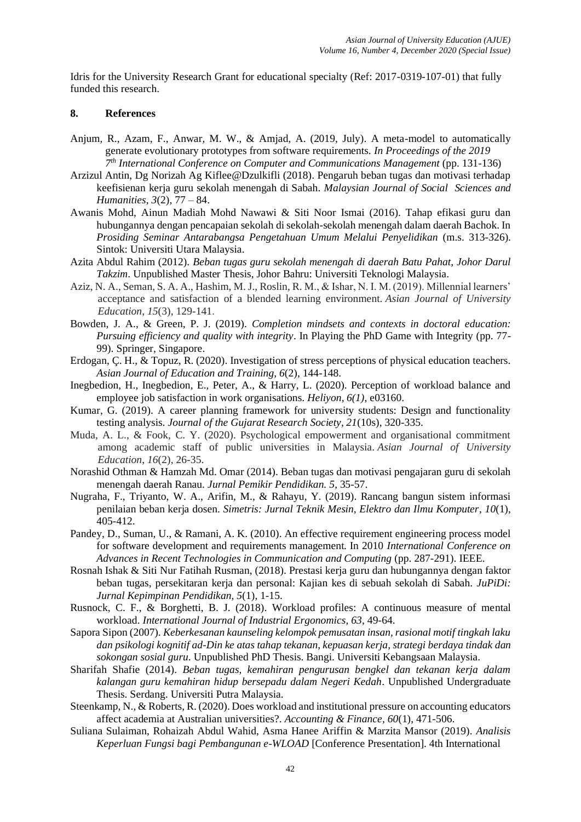Idris for the University Research Grant for educational specialty (Ref: 2017-0319-107-01) that fully funded this research.

#### **8. References**

- Anjum, R., Azam, F., Anwar, M. W., & Amjad, A. (2019, July). A meta-model to automatically generate evolutionary prototypes from software requirements. *In Proceedings of the 2019 7 th International Conference on Computer and Communications Management* (pp. 131-136)
- Arzizul Antin, Dg Norizah Ag Kiflee@Dzulkifli (2018). Pengaruh beban tugas dan motivasi terhadap keefisienan kerja guru sekolah menengah di Sabah. *Malaysian Journal of Social Sciences and Humanities*, *3*(2), 77 – 84.
- Awanis Mohd, Ainun Madiah Mohd Nawawi & Siti Noor Ismai (2016). Tahap efikasi guru dan hubungannya dengan pencapaian sekolah di sekolah-sekolah menengah dalam daerah Bachok. In *Prosiding Seminar Antarabangsa Pengetahuan Umum Melalui Penyelidikan* (m.s. 313-326). Sintok: Universiti Utara Malaysia.
- Azita Abdul Rahim (2012). *Beban tugas guru sekolah menengah di daerah Batu Pahat, Johor Darul Takzim*. Unpublished Master Thesis, Johor Bahru: Universiti Teknologi Malaysia.
- Aziz, N. A., Seman, S. A. A., Hashim, M. J., Roslin, R. M., & Ishar, N. I. M. (2019). Millennial learners' acceptance and satisfaction of a blended learning environment. *Asian Journal of University Education*, *15*(3), 129-141.
- Bowden, J. A., & Green, P. J. (2019). *Completion mindsets and contexts in doctoral education: Pursuing efficiency and quality with integrity*. In Playing the PhD Game with Integrity (pp. 77- 99). Springer, Singapore.
- Erdogan, Ç. H., & Topuz, R. (2020). Investigation of stress perceptions of physical education teachers. *Asian Journal of Education and Training, 6*(2), 144-148.
- Inegbedion, H., Inegbedion, E., Peter, A., & Harry, L. (2020). Perception of workload balance and employee job satisfaction in work organisations. *Heliyon*, *6(1)*, e03160.
- Kumar, G. (2019). A career planning framework for university students: Design and functionality testing analysis. *Journal of the Gujarat Research Society, 21*(10s), 320-335.
- Muda, A. L., & Fook, C. Y. (2020). Psychological empowerment and organisational commitment among academic staff of public universities in Malaysia. *Asian Journal of University Education*, *16*(2), 26-35.
- Norashid Othman & Hamzah Md. Omar (2014). Beban tugas dan motivasi pengajaran guru di sekolah menengah daerah Ranau. *Jurnal Pemikir Pendidikan. 5*, 35-57.
- Nugraha, F., Triyanto, W. A., Arifin, M., & Rahayu, Y. (2019). Rancang bangun sistem informasi penilaian beban kerja dosen. *Simetris: Jurnal Teknik Mesin, Elektro dan Ilmu Komputer*, *10*(1), 405-412.
- Pandey, D., Suman, U., & Ramani, A. K. (2010). An effective requirement engineering process model for software development and requirements management. In 2010 *International Conference on Advances in Recent Technologies in Communication and Computing* (pp. 287-291). IEEE.
- Rosnah Ishak & Siti Nur Fatihah Rusman, (2018). Prestasi kerja guru dan hubungannya dengan faktor beban tugas, persekitaran kerja dan personal: Kajian kes di sebuah sekolah di Sabah. *JuPiDi: Jurnal Kepimpinan Pendidikan, 5*(1), 1-15.
- Rusnock, C. F., & Borghetti, B. J. (2018). Workload profiles: A continuous measure of mental workload. *International Journal of Industrial Ergonomics, 63*, 49-64.
- Sapora Sipon (2007). *Keberkesanan kaunseling kelompok pemusatan insan, rasional motif tingkah laku dan psikologi kognitif ad-Din ke atas tahap tekanan, kepuasan kerja, strategi berdaya tindak dan sokongan sosial guru*. Unpublished PhD Thesis. Bangi. Universiti Kebangsaan Malaysia.
- Sharifah Shafie (2014). *Beban tugas, kemahiran pengurusan bengkel dan tekanan kerja dalam kalangan guru kemahiran hidup bersepadu dalam Negeri Kedah*. Unpublished Undergraduate Thesis. Serdang. Universiti Putra Malaysia.
- Steenkamp, N., & Roberts, R. (2020). Does workload and institutional pressure on accounting educators affect academia at Australian universities?. *Accounting & Finance, 60*(1), 471-506.
- Suliana Sulaiman, Rohaizah Abdul Wahid, Asma Hanee Ariffin & Marzita Mansor (2019). *Analisis Keperluan Fungsi bagi Pembangunan e-WLOAD* [Conference Presentation]. 4th International